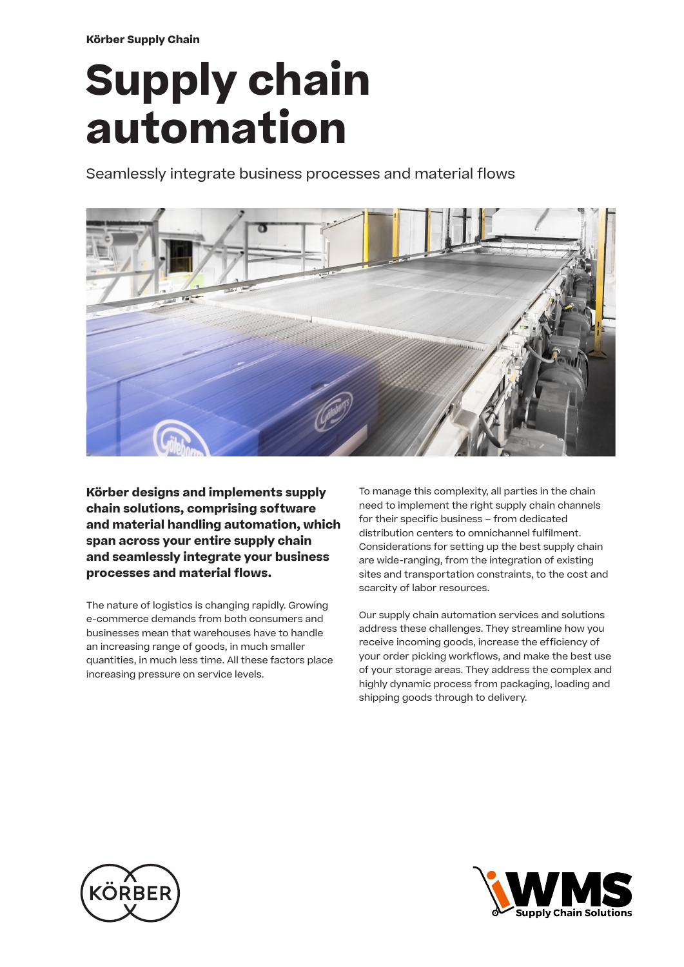**Körber Supply Chain**

# **Supply chain automation**

Seamlessly integrate business processes and material flows



**Körber designs and implements supply chain solutions, comprising software and material handling automation, which span across your entire supply chain and seamlessly integrate your business processes and material flows.**

The nature of logistics is changing rapidly. Growing e-commerce demands from both consumers and businesses mean that warehouses have to handle an increasing range of goods, in much smaller quantities, in much less time. All these factors place increasing pressure on service levels.

To manage this complexity, all parties in the chain need to implement the right supply chain channels for their specific business – from dedicated distribution centers to omnichannel fulfilment. Considerations for setting up the best supply chain are wide-ranging, from the integration of existing sites and transportation constraints, to the cost and scarcity of labor resources.

Our supply chain automation services and solutions address these challenges. They streamline how you receive incoming goods, increase the efficiency of your order picking workflows, and make the best use of your storage areas. They address the complex and highly dynamic process from packaging, loading and shipping goods through to delivery.



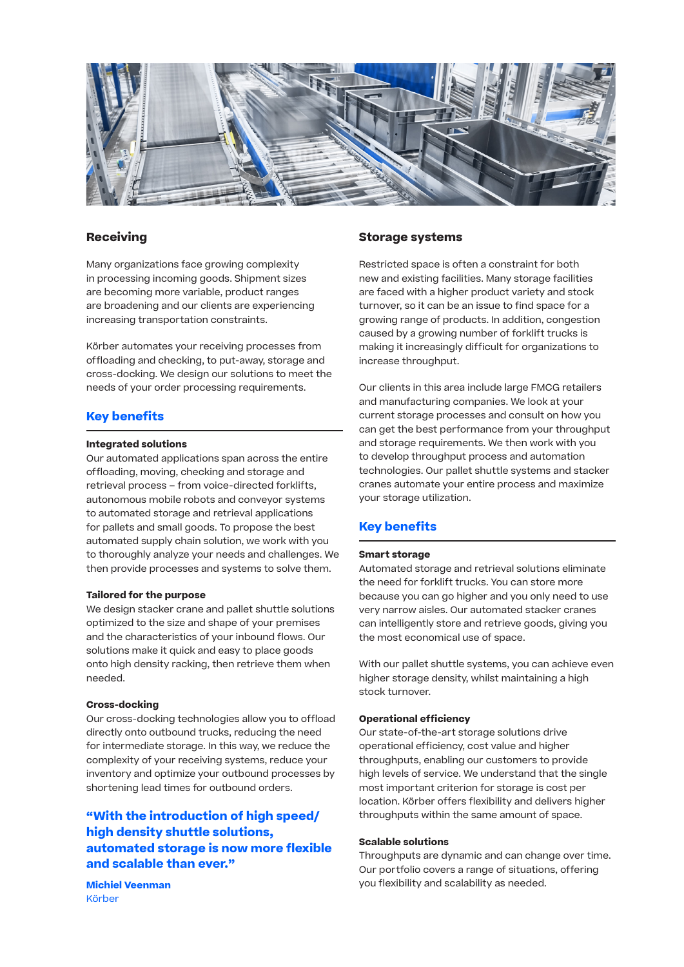

## **Receiving**

Many organizations face growing complexity in processing incoming goods. Shipment sizes are becoming more variable, product ranges are broadening and our clients are experiencing increasing transportation constraints.

Körber automates your receiving processes from offloading and checking, to put-away, storage and cross-docking. We design our solutions to meet the needs of your order processing requirements.

## **Key benefits**

#### **Integrated solutions**

Our automated applications span across the entire offloading, moving, checking and storage and retrieval process – from voice-directed forklifts, autonomous mobile robots and conveyor systems to automated storage and retrieval applications for pallets and small goods. To propose the best automated supply chain solution, we work with you to thoroughly analyze your needs and challenges. We then provide processes and systems to solve them.

#### **Tailored for the purpose**

We design stacker crane and pallet shuttle solutions optimized to the size and shape of your premises and the characteristics of your inbound flows. Our solutions make it quick and easy to place goods onto high density racking, then retrieve them when needed.

#### **Cross-docking**

Our cross-docking technologies allow you to offload directly onto outbound trucks, reducing the need for intermediate storage. In this way, we reduce the complexity of your receiving systems, reduce your inventory and optimize your outbound processes by shortening lead times for outbound orders.

# **"With the introduction of high speed/ high density shuttle solutions, automated storage is now more flexible and scalable than ever."**

**Michiel Veenman** Körber

## **Storage systems**

Restricted space is often a constraint for both new and existing facilities. Many storage facilities are faced with a higher product variety and stock turnover, so it can be an issue to find space for a growing range of products. In addition, congestion caused by a growing number of forklift trucks is making it increasingly difficult for organizations to increase throughput.

Our clients in this area include large FMCG retailers and manufacturing companies. We look at your current storage processes and consult on how you can get the best performance from your throughput and storage requirements. We then work with you to develop throughput process and automation technologies. Our pallet shuttle systems and stacker cranes automate your entire process and maximize your storage utilization.

## **Key benefits**

## **Smart storage**

Automated storage and retrieval solutions eliminate the need for forklift trucks. You can store more because you can go higher and you only need to use very narrow aisles. Our automated stacker cranes can intelligently store and retrieve goods, giving you the most economical use of space.

With our pallet shuttle systems, you can achieve even higher storage density, whilst maintaining a high stock turnover.

## **Operational efficiency**

Our state-of-the-art storage solutions drive operational efficiency, cost value and higher throughputs, enabling our customers to provide high levels of service. We understand that the single most important criterion for storage is cost per location. Körber offers flexibility and delivers higher throughputs within the same amount of space.

## **Scalable solutions**

Throughputs are dynamic and can change over time. Our portfolio covers a range of situations, offering you flexibility and scalability as needed.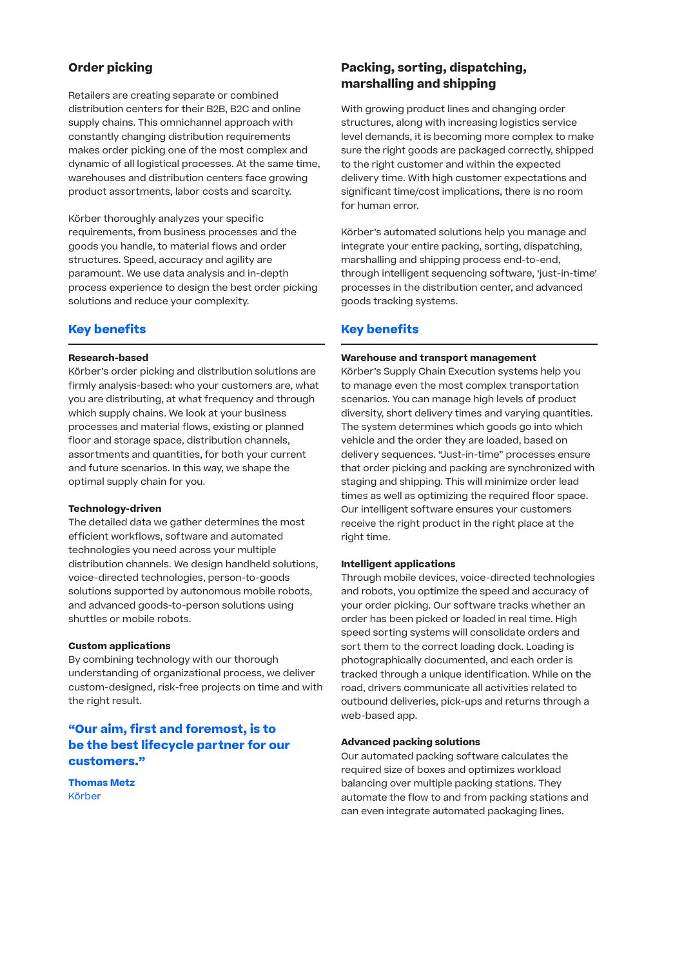# **Order picking**

Retailers are creating separate or combined distribution centers for their B2B, B2C and online supply chains. This omnichannel approach with constantly changing distribution requirements makes order picking one of the most complex and dynamic of all logistical processes. At the same time, warehouses and distribution centers face growing product assortments, labor costs and scarcity.

Körber thoroughly analyzes your specific requirements, from business processes and the goods you handle, to material flows and order structures. Speed, accuracy and agility are paramount. We use data analysis and in-depth process experience to design the best order picking solutions and reduce your complexity.

# **Key benefits**

## **Research-based**

Körber's order picking and distribution solutions are firmly analysis-based: who your customers are, what you are distributing, at what frequency and through which supply chains. We look at your business processes and material flows, existing or planned floor and storage space, distribution channels, assortments and quantities, for both your current and future scenarios. In this way, we shape the optimal supply chain for you.

## **Technology-driven**

The detailed data we gather determines the most efficient workflows, software and automated technologies you need across your multiple distribution channels. We design handheld solutions, voice-directed technologies, person-to-goods solutions supported by autonomous mobile robots, and advanced goods-to-person solutions using shuttles or mobile robots.

## **Custom applications**

By combining technology with our thorough understanding of organizational process, we deliver custom-designed, risk-free projects on time and with the right result.

# **"Our aim, first and foremost, is to be the best lifecycle partner for our customers."**

**Thomas Metz** Körber

# **Packing, sorting, dispatching, marshalling and shipping**

With growing product lines and changing order structures, along with increasing logistics service level demands, it is becoming more complex to make sure the right goods are packaged correctly, shipped to the right customer and within the expected delivery time. With high customer expectations and significant time/cost implications, there is no room for human error.

Körber's automated solutions help you manage and integrate your entire packing, sorting, dispatching, marshalling and shipping process end-to-end, through intelligent sequencing software, 'just-in-time' processes in the distribution center, and advanced goods tracking systems.

# **Key benefits**

#### **Warehouse and transport management**

Körber's Supply Chain Execution systems help you to manage even the most complex transportation scenarios. You can manage high levels of product diversity, short delivery times and varying quantities. The system determines which goods go into which vehicle and the order they are loaded, based on delivery sequences. "Just-in-time" processes ensure that order picking and packing are synchronized with staging and shipping. This will minimize order lead times as well as optimizing the required floor space. Our intelligent software ensures your customers receive the right product in the right place at the right time.

## **Intelligent applications**

Through mobile devices, voice-directed technologies and robots, you optimize the speed and accuracy of your order picking. Our software tracks whether an order has been picked or loaded in real time. High speed sorting systems will consolidate orders and sort them to the correct loading dock. Loading is photographically documented, and each order is tracked through a unique identification. While on the road, drivers communicate all activities related to outbound deliveries, pick-ups and returns through a web-based app.

#### **Advanced packing solutions**

Our automated packing software calculates the required size of boxes and optimizes workload balancing over multiple packing stations. They automate the flow to and from packing stations and can even integrate automated packaging lines.